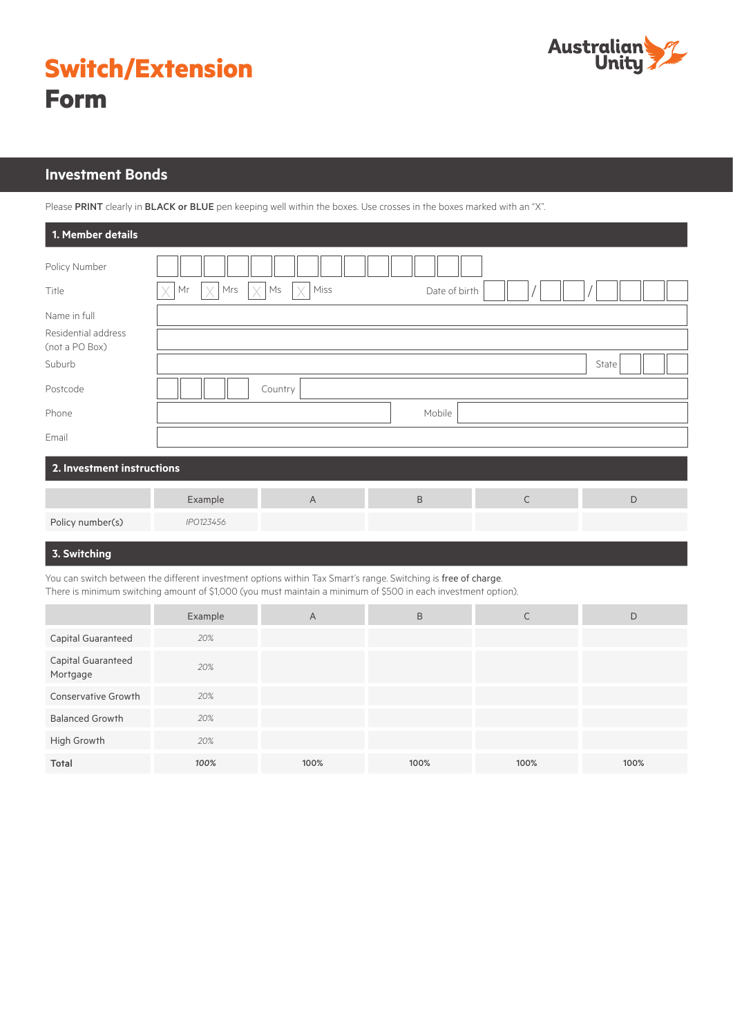

|             | <b>Switch/Extension</b> |
|-------------|-------------------------|
| <b>Form</b> |                         |

# **Investment Bonds**

Please PRINT clearly in BLACK or BLUE pen keeping well within the boxes. Use crosses in the boxes marked with an "X".

| 1. Member details                     |                     |                 |               |             |               |
|---------------------------------------|---------------------|-----------------|---------------|-------------|---------------|
| Policy Number                         |                     |                 |               |             |               |
| Title                                 | Mrs<br>Mr<br>X<br>Χ | Miss<br>Ms<br>X | Date of birth |             |               |
| Name in full                          |                     |                 |               |             |               |
| Residential address<br>(not a PO Box) |                     |                 |               |             |               |
| Suburb                                |                     |                 |               |             | State         |
| Postcode                              |                     | Country         |               |             |               |
| Phone                                 |                     |                 | Mobile        |             |               |
| Email                                 |                     |                 |               |             |               |
| 2. Investment instructions            |                     |                 |               |             |               |
|                                       | Example             | $\overline{A}$  | $\mathsf B$   | $\mathsf C$ | $\mathsf{D}%$ |
| Policy number(s)                      | IPO123456           |                 |               |             |               |

### **3. Switching**

You can switch between the different investment options within Tax Smart's range. Switching is free of charge. There is minimum switching amount of \$1,000 (you must maintain a minimum of \$500 in each investment option).

|                                | Example | A    | B    |      | D    |
|--------------------------------|---------|------|------|------|------|
| Capital Guaranteed             | 20%     |      |      |      |      |
| Capital Guaranteed<br>Mortgage | 20%     |      |      |      |      |
| Conservative Growth            | 20%     |      |      |      |      |
| <b>Balanced Growth</b>         | 20%     |      |      |      |      |
| High Growth                    | 20%     |      |      |      |      |
| Total                          | 100%    | 100% | 100% | 100% | 100% |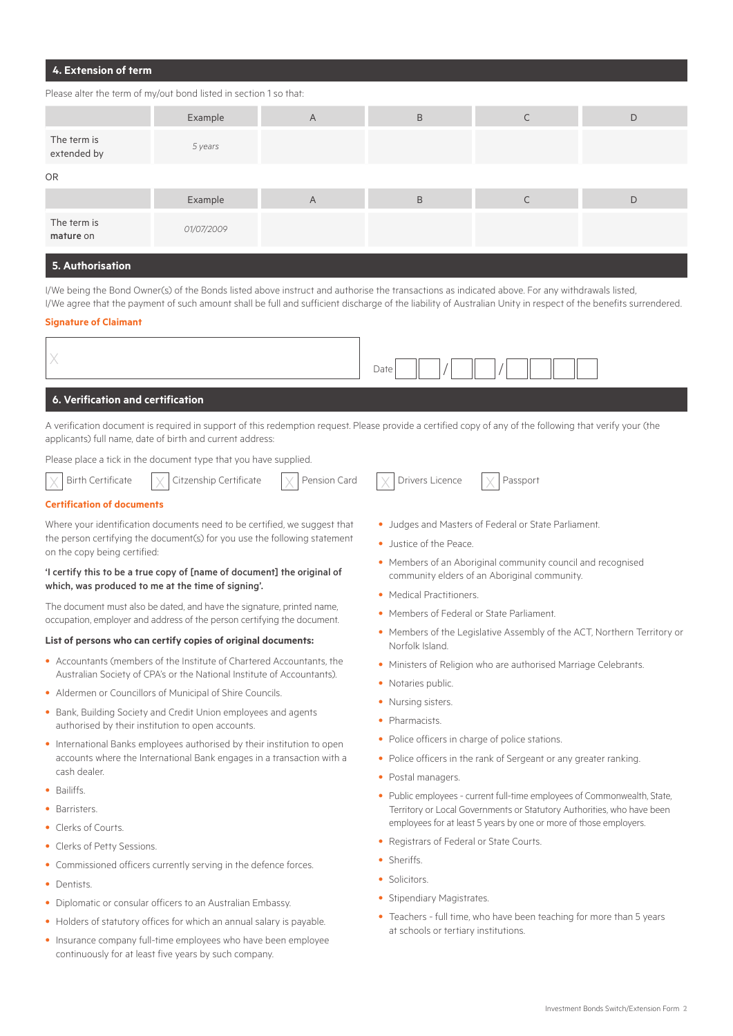# **4. Extension of term**

#### Please alter the term of my/out bond listed in section 1 so that:

|                            | Example    | A | B |   | D |
|----------------------------|------------|---|---|---|---|
| The term is<br>extended by | 5 years    |   |   |   |   |
| <b>OR</b>                  |            |   |   |   |   |
|                            | Example    | A | B | ◡ | D |
| The term is<br>mature on   | 01/07/2009 |   |   |   |   |
|                            |            |   |   |   |   |

#### **5. Authorisation**

I/We being the Bond Owner(s) of the Bonds listed above instruct and authorise the transactions as indicated above. For any withdrawals listed, I/We agree that the payment of such amount shall be full and sufficient discharge of the liability of Australian Unity in respect of the benefits surrendered.

#### **Signature of Claimant**

 $\times$ 

|--|

### **6. Verification and certification**

A verification document is required in support of this redemption request. Please provide a certified copy of any of the following that verify your (the applicants) full name, date of birth and current address:

Please place a tick in the document type that you have supplied.

|  | Birth Certificate |  | $\times$ Citzenship Certificate | $\sim$ | Pension Card |  | $\vert \vee \vert$ Drivers Licence |  | Passport |
|--|-------------------|--|---------------------------------|--------|--------------|--|------------------------------------|--|----------|
|--|-------------------|--|---------------------------------|--------|--------------|--|------------------------------------|--|----------|

#### **Certification of documents**

Where your identification documents need to be certified, we suggest that the person certifying the document(s) for you use the following statement on the copy being certified:

#### 'I certify this to be a true copy of [name of document] the original of which, was produced to me at the time of signing'.

The document must also be dated, and have the signature, printed name, occupation, employer and address of the person certifying the document.

#### **List of persons who can certify copies of original documents:**

- Accountants (members of the Institute of Chartered Accountants, the Australian Society of CPA's or the National Institute of Accountants).
- Aldermen or Councillors of Municipal of Shire Councils.
- Bank, Building Society and Credit Union employees and agents authorised by their institution to open accounts.
- International Banks employees authorised by their institution to open accounts where the International Bank engages in a transaction with a cash dealer.
- Bailiffs.
- Barristers.
- Clerks of Courts.
- Clerks of Petty Sessions.
- Commissioned officers currently serving in the defence forces.
- Dentists.
- Diplomatic or consular officers to an Australian Embassy.
- Holders of statutory offices for which an annual salary is payable.
- Insurance company full-time employees who have been employee continuously for at least five years by such company.
- Judges and Masters of Federal or State Parliament.
- Justice of the Peace.
- Members of an Aboriginal community council and recognised community elders of an Aboriginal community.
- Medical Practitioners.
- Members of Federal or State Parliament.
- Members of the Legislative Assembly of the ACT, Northern Territory or Norfolk Island.
- Ministers of Religion who are authorised Marriage Celebrants.
- Notaries public.
- Nursing sisters.
- Pharmacists.
- Police officers in charge of police stations.
- Police officers in the rank of Sergeant or any greater ranking.
- Postal managers.
- Public employees current full-time employees of Commonwealth, State, Territory or Local Governments or Statutory Authorities, who have been employees for at least 5 years by one or more of those employers.
- Registrars of Federal or State Courts.
- Sheriffs.
- Solicitors.
- Stipendiary Magistrates.
- Teachers full time, who have been teaching for more than 5 years at schools or tertiary institutions.